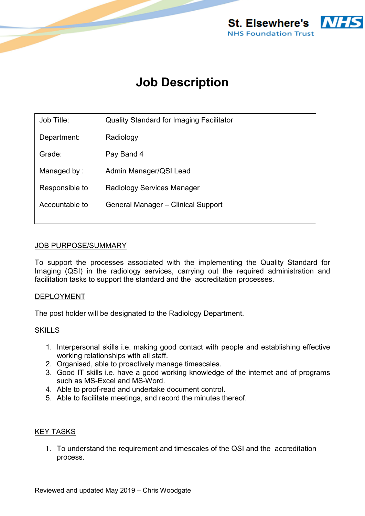

# **Job Description**

| Job Title:     | <b>Quality Standard for Imaging Facilitator</b> |
|----------------|-------------------------------------------------|
| Department:    | Radiology                                       |
| Grade:         | Pay Band 4                                      |
| Managed by:    | Admin Manager/QSI Lead                          |
| Responsible to | <b>Radiology Services Manager</b>               |
| Accountable to | General Manager - Clinical Support              |
|                |                                                 |

## JOB PURPOSE/SUMMARY

To support the processes associated with the implementing the Quality Standard for Imaging (QSI) in the radiology services, carrying out the required administration and facilitation tasks to support the standard and the accreditation processes.

#### DEPLOYMENT

The post holder will be designated to the Radiology Department.

## **SKILLS**

- 1. Interpersonal skills i.e. making good contact with people and establishing effective working relationships with all staff.
- 2. Organised, able to proactively manage timescales.
- 3. Good IT skills i.e. have a good working knowledge of the internet and of programs such as MS-Excel and MS-Word.
- 4. Able to proof-read and undertake document control.
- 5. Able to facilitate meetings, and record the minutes thereof.

#### **KEY TASKS**

1. To understand the requirement and timescales of the QSI and the accreditation process.